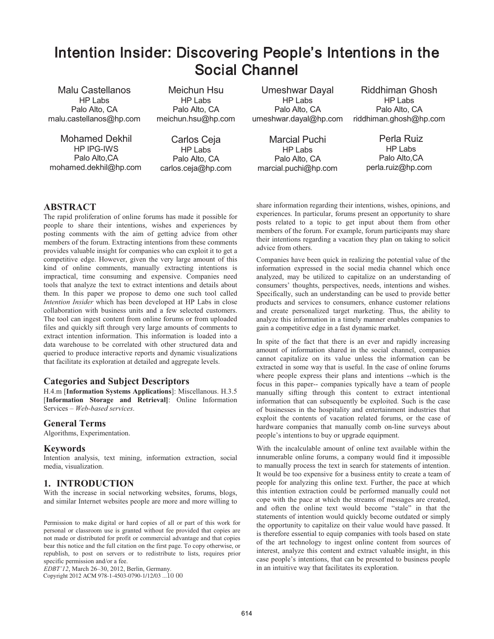# Intention Insider: Discovering People's Intentions in the Social Channel

Malu Castellanos HP Labs Palo Alto, CA malu.castellanos@hp.com

Meichun Hsu HP Labs Palo Alto, CA meichun.hsu@hp.com

Umeshwar Dayal HP Labs Palo Alto, CA umeshwar.dayal@hp.com

Mohamed Dekhil HP IPG-IWS Palo Alto,CA mohamed.dekhil@hp.com

Carlos Ceja HP Labs Palo Alto, CA carlos.ceja@hp.com

Marcial Puchi HP Labs Palo Alto, CA marcial.puchi@hp.com

Riddhiman Ghosh HP Labs Palo Alto, CA riddhiman.ghosh@hp.com

> Perla Ruiz HP Labs Palo Alto,CA perla.ruiz@hp.com

# **ABSTRACT**

The rapid proliferation of online forums has made it possible for people to share their intentions, wishes and experiences by posting comments with the aim of getting advice from other members of the forum. Extracting intentions from these comments provides valuable insight for companies who can exploit it to get a competitive edge. However, given the very large amount of this kind of online comments, manually extracting intentions is impractical, time consuming and expensive. Companies need tools that analyze the text to extract intentions and details about them. In this paper we propose to demo one such tool called *Intention Insider* which has been developed at HP Labs in close collaboration with business units and a few selected customers. The tool can ingest content from online forums or from uploaded files and quickly sift through very large amounts of comments to extract intention information. This information is loaded into a data warehouse to be correlated with other structured data and queried to produce interactive reports and dynamic visualizations that facilitate its exploration at detailed and aggregate levels.

## **Categories and Subject Descriptors**

H.4.m [**Information Systems Applications**]: Miscellanous. H.3.5 [**Information Storage and Retrieval]**: Online Information Services – *Web-based services*.

## **General Terms**

Algorithms, Experimentation.

## **Keywords**

Intention analysis, text mining, information extraction, social media, visualization.

## **1. INTRODUCTION**

With the increase in social networking websites, forums, blogs, and similar Internet websites people are more and more willing to

Permission to make digital or hard copies of all or part of this work for personal or classroom use is granted without fee provided that copies are not made or distributed for profit or commercial advantage and that copies bear this notice and the full citation on the first page. To copy otherwise, or republish, to post on servers or to redistribute to lists, requires prior specific permission and/or a fee.

*EDBT'12*, March 26–30, 2012, Berlin, Germany.

Copyright 2012 ACM 978-1-4503-0790-1/12/03 ...10 00

share information regarding their intentions, wishes, opinions, and experiences. In particular, forums present an opportunity to share posts related to a topic to get input about them from other members of the forum. For example, forum participants may share their intentions regarding a vacation they plan on taking to solicit advice from others.

Companies have been quick in realizing the potential value of the information expressed in the social media channel which once analyzed, may be utilized to capitalize on an understanding of consumers' thoughts, perspectives, needs, intentions and wishes. Specifically, such an understanding can be used to provide better products and services to consumers, enhance customer relations and create personalized target marketing. Thus, the ability to analyze this information in a timely manner enables companies to gain a competitive edge in a fast dynamic market.

In spite of the fact that there is an ever and rapidly increasing amount of information shared in the social channel, companies cannot capitalize on its value unless the information can be extracted in some way that is useful. In the case of online forums where people express their plans and intentions --which is the focus in this paper-- companies typically have a team of people manually sifting through this content to extract intentional information that can subsequently be exploited. Such is the case of businesses in the hospitality and entertainment industries that exploit the contents of vacation related forums, or the case of hardware companies that manually comb on-line surveys about people's intentions to buy or upgrade equipment.

With the incalculable amount of online text available within the innumerable online forums, a company would find it impossible to manually process the text in search for statements of intention. It would be too expensive for a business entity to create a team of people for analyzing this online text. Further, the pace at which this intention extraction could be performed manually could not cope with the pace at which the streams of messages are created, and often the online text would become "stale" in that the statements of intention would quickly become outdated or simply the opportunity to capitalize on their value would have passed. It is therefore essential to equip companies with tools based on state of the art technology to ingest online content from sources of interest, analyze this content and extract valuable insight, in this case people's intentions, that can be presented to business people in an intuitive way that facilitates its exploration.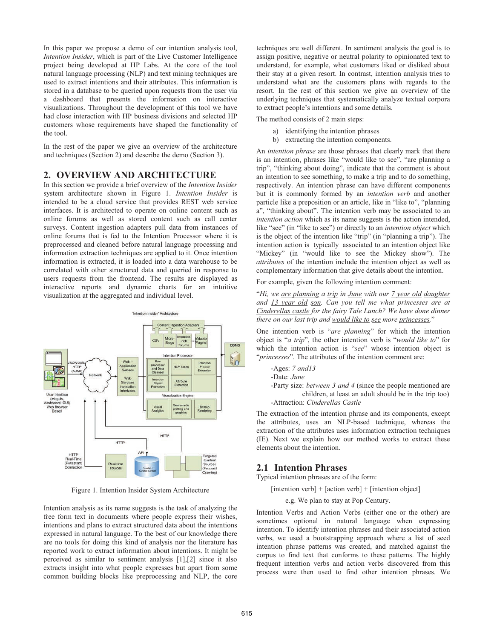In this paper we propose a demo of our intention analysis tool, *Intention Insider*, which is part of the Live Customer Intelligence project being developed at HP Labs. At the core of the tool natural language processing (NLP) and text mining techniques are used to extract intentions and their attributes. This information is stored in a database to be queried upon requests from the user via a dashboard that presents the information on interactive visualizations. Throughout the development of this tool we have had close interaction with HP business divisions and selected HP customers whose requirements have shaped the functionality of the tool.

In the rest of the paper we give an overview of the architecture and techniques (Section 2) and describe the demo (Section 3).

# **2. OVERVIEW AND ARCHITECTURE**

In this section we provide a brief overview of the *Intention Insider* system architecture shown in Figure 1. *Intention Insider* is intended to be a cloud service that provides REST web service interfaces. It is architected to operate on online content such as online forums as well as stored content such as call center surveys. Content ingestion adapters pull data from instances of online forums that is fed to the Intention Processor where it is preprocessed and cleaned before natural language processing and information extraction techniques are applied to it. Once intention information is extracted, it is loaded into a data warehouse to be correlated with other structured data and queried in response to users requests from the frontend. The results are displayed as interactive reports and dynamic charts for an intuitive visualization at the aggregated and individual level.



Figure 1. Intention Insider System Architecture

Intention analysis as its name suggests is the task of analyzing the free form text in documents where people express their wishes, intentions and plans to extract structured data about the intentions expressed in natural language. To the best of our knowledge there are no tools for doing this kind of analysis nor the literature has reported work to extract information about intentions. It might be perceived as similar to sentiment analysis [1],[2] since it also extracts insight into what people expresses but apart from some common building blocks like preprocessing and NLP, the core

techniques are well different. In sentiment analysis the goal is to assign positive, negative or neutral polarity to opinionated text to understand, for example, what customers liked or disliked about their stay at a given resort. In contrast, intention analysis tries to understand what are the customers plans with regards to the resort. In the rest of this section we give an overview of the underlying techniques that systematically analyze textual corpora to extract people's intentions and some details.

The method consists of 2 main steps:

- a) identifying the intention phrases
- b) extracting the intention components.

An *intention phrase* are those phrases that clearly mark that there is an intention, phrases like "would like to see", "are planning a trip", "thinking about doing", indicate that the comment is about an intention to see something, to make a trip and to do something, respectively. An intention phrase can have different components but it is commonly formed by an *intention verb* and another particle like a preposition or an article, like in "like to", "planning a", "thinking about". The intention verb may be associated to an *intention action* which as its name suggests is the action intended, like "see" (in "like to see") or directly to an *intention object* which is the object of the intention like "trip" (in "planning a trip"). The intention action is typically associated to an intention object like "Mickey" (in "would like to see the Mickey show"). The *attributes* of the intention include the intention object as well as complementary information that give details about the intention.

For example, given the following intention comment:

"*Hi, we are planning a trip in June with our 7 year old daughter and 13 year old son. Can you tell me what princesses are at Cinderellas castle for the fairy Tale Lunch? We have done dinner there on our last trip and would like to see more princesses.*"

One intention verb is "*are planning*" for which the intention object is "*a trip*", the other intention verb is "*would like to*" for which the intention action is "*see*" whose intention object is "*princesses*". The attributes of the intention comment are:

-Ages: *7 and13* -Date: *June*

-Party size: *between 3 and 4* (since the people mentioned are children, at least an adult should be in the trip too) -Attraction: *Cinderellas Castle*

The extraction of the intention phrase and its components, except the attributes, uses an NLP-based technique, whereas the extraction of the attributes uses information extraction techniques (IE). Next we explain how our method works to extract these elements about the intention.

# **2.1 Intention Phrases**

Typical intention phrases are of the form:

[intention verb] + [action verb] + [intention object]

e.g. We plan to stay at Pop Century.

Intention Verbs and Action Verbs (either one or the other) are sometimes optional in natural language when expressing intention. To identify intention phrases and their associated action verbs, we used a bootstrapping approach where a list of seed intention phrase patterns was created, and matched against the corpus to find text that conforms to these patterns. The highly frequent intention verbs and action verbs discovered from this process were then used to find other intention phrases. We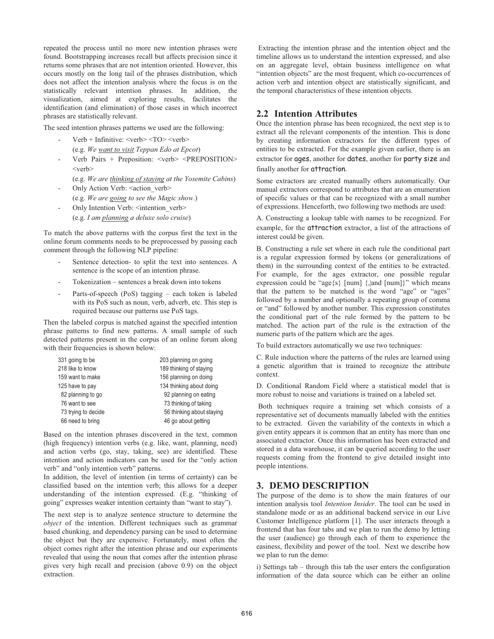repeated the process until no more new intention phrases were found. Bootstrapping increases recall but affects precision since it returns some phrases that are not intention oriented. However, this occurs mostly on the long tail of the phrases distribution, which does not affect the intention analysis where the focus is on the statistically relevant intention phrases. In addition, the visualization, aimed at exploring results, facilitates the identification (and elimination) of those cases in which incorrect phrases are statistically relevant.

The seed intention phrases patterns we used are the following:

- Verb + Infinitive: <verb> <TO> <verb>
- (e.g. *We want to visit Teppan Edo at Epcot*)
- Verb Pairs + Preposition: <verb> <PREPOSITION>  $<$ verb $>$

(e.g. *We are thinking of staying at the Yosemite Cabins*)

Only Action Verb: <action\_verb>

(e.g. *We are going to see the Magic show*.)

Only Intention Verb: <intention\_verb>

(e.g. *I am planning a deluxe solo cruise*)

To match the above patterns with the corpus first the text in the online forum comments needs to be preprocessed by passing each comment through the following NLP pipeline:

- Sentence detection- to split the text into sentences. A sentence is the scope of an intention phrase.
- Tokenization sentences a break down into tokens
- Parts-of-speech (PoS) tagging each token is labeled with its PoS such as noun, verb, adverb, etc. This step is required because our patterns use PoS tags.

Then the labeled corpus is matched against the specified intention phrase patterns to find new patterns. A small sample of such detected patterns present in the corpus of an online forum along with their frequencies is shown below:

| 331 going to be     | 203 planning on going     |
|---------------------|---------------------------|
| 218 like to know    | 189 thinking of staying   |
| 159 want to make    | 156 planning on doing     |
| 125 have to pay     | 134 thinking about doing  |
| 82 planning to go   | 92 planning on eating     |
| 76 want to see      | 73 thinking of taking     |
| 73 trying to decide | 56 thinking about staying |
| 66 need to bring    | 46 go about getting       |

Based on the intention phrases discovered in the text, common (high frequency) intention verbs (e.g. like, want, planning, need) and action verbs (go, stay, taking, see) are identified. These intention and action indicators can be used for the "only action verb" and "only intention verb" patterns.

In addition, the level of intention (in terms of certainty) can be classified based on the intention verb; this allows for a deeper understanding of the intention expressed. (E.g. "thinking of going" expresses weaker intention certainty than "want to stay").

The next step is to analyze sentence structure to determine the *object* of the intention. Different techniques such as grammar based chunking, and dependency parsing can be used to determine the object but they are expensive. Fortunately, most often the object comes right after the intention phrase and our experiments revealed that using the noun that comes after the intention phrase gives very high recall and precision (above 0.9) on the object extraction.

Extracting the intention phrase and the intention object and the timeline allows us to understand the intention expressed, and also on an aggregate level, obtain business intelligence on what "intention objects" are the most frequent, which co-occurrences of action verb and intention object are statistically significant, and the temporal characteristics of these intention objects.

## **2.2 Intention Attributes**

Once the intention phrase has been recognized, the next step is to extract all the relevant components of the intention. This is done by creating information extractors for the different types of entities to be extracted. For the example given earlier, there is an extractor for ages, another for dates, another for party size and finally another for attraction.

Some extractors are created manually others automatically. Our manual extractors correspond to attributes that are an enumeration of specific values or that can be recognized with a small number of expressions. Henceforth, two following two methods are used:

A. Constructing a lookup table with names to be recognized. For example, for the attraction extractor, a list of the attractions of interest could be given.

B. Constructing a rule set where in each rule the conditional part is a regular expression formed by tokens (or generalizations of them) in the surrounding context of the entities to be extracted. For example, for the ages extractor, one possible regular expression could be "age $\{s\}$  [num]  $\{$ , and [num]}" which means that the pattern to be matched is the word "age" or "ages" followed by a number and optionally a repeating group of comma or "and" followed by another number. This expression constitutes the conditional part of the rule formed by the pattern to be matched. The action part of the rule is the extraction of the numeric parts of the pattern which are the ages.

To build extractors automatically we use two techniques:

C. Rule induction where the patterns of the rules are learned using a genetic algorithm that is trained to recognize the attribute context.

D. Conditional Random Field where a statistical model that is more robust to noise and variations is trained on a labeled set.

Both techniques require a training set which consists of a representative set of documents manually labeled with the entities to be extracted. Given the variability of the contexts in which a given entity appears it is common that an entity has more than one associated extractor. Once this information has been extracted and stored in a data warehouse, it can be queried according to the user requests coming from the frontend to give detailed insight into people intentions.

## **3. DEMO DESCRIPTION**

The purpose of the demo is to show the main features of our intention analysis tool *Intention Insider*. The tool can be used in standalone mode or as an additional backend service in our Live Customer Intelligence platform [1]. The user interacts through a frontend that has four tabs and we plan to run the demo by letting the user (audience) go through each of them to experience the easiness, flexibility and power of the tool. Next we describe how we plan to run the demo:

i) Settings tab – through this tab the user enters the configuration information of the data source which can be either an online